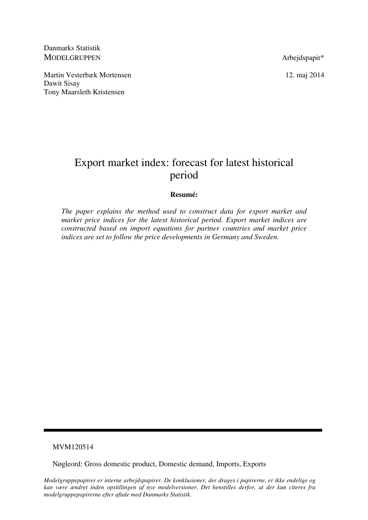Danmarks Statistik MODELGRUPPEN Arbeidspapir\*

Martin Vesterbæk Mortensen 12. maj 2014 Dawit Sisay Tony Maarsleth Kristensen

# Export market index: forecast for latest historical period

## **Resumé:**

*The paper explains the method used to construct data for export market and market price indices for the latest historical period. Export market indices are constructed based on import equations for partner countries and market price indices are set to follow the price developments in Germany and Sweden.* 

## MVM120514

Nøgleord: Gross domestic product, Domestic demand, Imports, Exports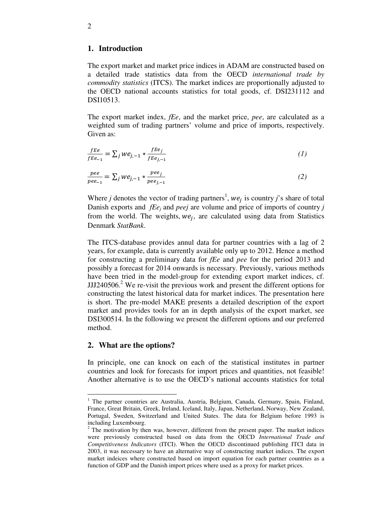### **1. Introduction**

The export market and market price indices in ADAM are constructed based on a detailed trade statistics data from the OECD *international trade by commodity statistics* (ITCS). The market indices are proportionally adjusted to the OECD national accounts statistics for total goods, cf. DSI231112 and DSI10513.

The export market index, *fEe*, and the market price, *pee*, are calculated as a weighted sum of trading partners' volume and price of imports, respectively. Given as:

$$
\frac{fEe}{fEe_{-1}} = \sum_{j} we_{j,-1} * \frac{fEe_j}{fEe_{j,-1}} \tag{1}
$$

$$
\frac{pee}{pee_{-1}} = \sum_{j} we_{j,-1} * \frac{pee_j}{pee_{j,-1}}
$$
 (2)

Where *j* denotes the vector of trading partners<sup>1</sup>,  $we_j$  is country *j*'s share of total Danish exports and *fEe<sub>j</sub>* and *peej* are volume and price of imports of country *j* from the world. The weights,  $we_j$ , are calculated using data from Statistics Denmark *StatBank*.

The ITCS-database provides annul data for partner countries with a lag of 2 years, for example, data is currently available only up to 2012. Hence a method for constructing a preliminary data for *fEe* and *pee* for the period 2013 and possibly a forecast for 2014 onwards is necessary. Previously, various methods have been tried in the model-group for extending export market indices, cf.  $JJJ240506<sup>2</sup>$  We re-visit the previous work and present the different options for constructing the latest historical data for market indices. The presentation here is short. The pre-model MAKE presents a detailed description of the export market and provides tools for an in depth analysis of the export market, see DSI300514. In the following we present the different options and our preferred method.

#### **2. What are the options?**

<u>.</u>

In principle, one can knock on each of the statistical institutes in partner countries and look for forecasts for import prices and quantities, not feasible! Another alternative is to use the OECD's national accounts statistics for total

<sup>&</sup>lt;sup>1</sup> The partner countries are Australia, Austria, Belgium, Canada, Germany, Spain, Finland, France, Great Britain, Greek, Ireland, Iceland, Italy, Japan, Netherland, Norway, New Zealand, Portugal, Sweden, Switzerland and United States. The data for Belgium before 1993 is including Luxembourg.

 $2$  The motivation by then was, however, different from the present paper. The market indices were previously constructed based on data from the OECD *International Trade and Competitiveness Indicators* (ITCI). When the OECD discontinued publishing ITCI data in 2003, it was necessary to have an alternative way of constructing market indices. The export market indeices where constructed based on import equation for each partner countries as a function of GDP and the Danish import prices where used as a proxy for market prices.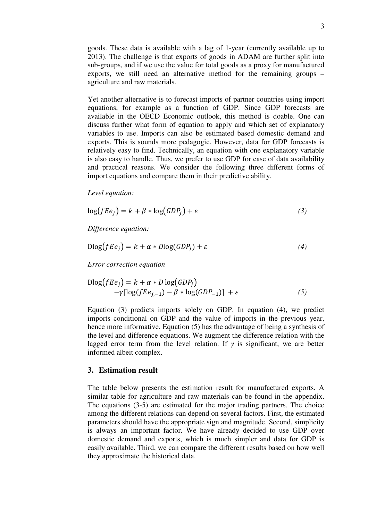goods. These data is available with a lag of 1-year (currently available up to 2013). The challenge is that exports of goods in ADAM are further split into sub-groups, and if we use the value for total goods as a proxy for manufactured exports, we still need an alternative method for the remaining groups – agriculture and raw materials.

Yet another alternative is to forecast imports of partner countries using import equations, for example as a function of GDP. Since GDP forecasts are available in the OECD Economic outlook, this method is doable. One can discuss further what form of equation to apply and which set of explanatory variables to use. Imports can also be estimated based domestic demand and exports. This is sounds more pedagogic. However, data for GDP forecasts is relatively easy to find. Technically, an equation with one explanatory variable is also easy to handle. Thus, we prefer to use GDP for ease of data availability and practical reasons. We consider the following three different forms of import equations and compare them in their predictive ability.

*Level equation:* 

$$
\log(fe_j) = k + \beta * \log(GDP_j) + \varepsilon \tag{3}
$$

*Difference equation:* 

$$
D\log(fe_j) = k + \alpha * D\log(GDP_j) + \varepsilon
$$
\n(4)

*Error correction equation* 

$$
\begin{aligned} \text{Dlog}(fE\mathbf{e}_j) &= k + \alpha * D \log(GDP_j) \\ &\quad -\gamma[\log(fE\mathbf{e}_{j,-1}) - \beta * \log(GDP_{-1})] + \varepsilon \end{aligned} \tag{5}
$$

Equation (3) predicts imports solely on GDP. In equation (4), we predict imports conditional on GDP and the value of imports in the previous year, hence more informative. Equation (5) has the advantage of being a synthesis of the level and difference equations. We augment the difference relation with the lagged error term from the level relation. If  $\gamma$  is significant, we are better informed albeit complex.

### **3. Estimation result**

The table below presents the estimation result for manufactured exports. A similar table for agriculture and raw materials can be found in the appendix. The equations (3-5) are estimated for the major trading partners. The choice among the different relations can depend on several factors. First, the estimated parameters should have the appropriate sign and magnitude. Second, simplicity is always an important factor. We have already decided to use GDP over domestic demand and exports, which is much simpler and data for GDP is easily available. Third, we can compare the different results based on how well they approximate the historical data.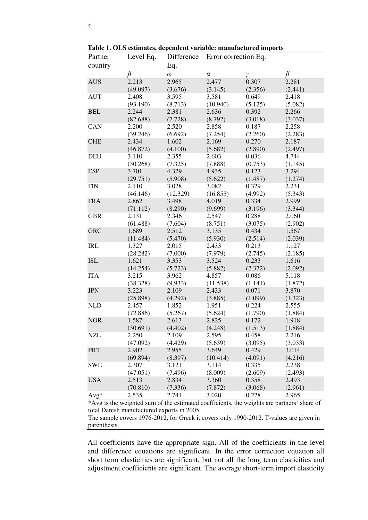| Partner                            | Level Eq.                                                   | Difference                                               | Error correction Eq.                                      |                                                          |                                                          |  |  |
|------------------------------------|-------------------------------------------------------------|----------------------------------------------------------|-----------------------------------------------------------|----------------------------------------------------------|----------------------------------------------------------|--|--|
| country                            |                                                             | Eq.                                                      |                                                           |                                                          |                                                          |  |  |
|                                    | β                                                           | $\alpha$                                                 | $\alpha$                                                  | $\gamma$                                                 | β                                                        |  |  |
| <b>AUS</b>                         | 2.213                                                       | 2.965                                                    | 2.477                                                     | 0.307                                                    | 2.281                                                    |  |  |
|                                    | (49.097)                                                    | (3.676)                                                  | (3.145)                                                   | (2.356)                                                  | (2.441)                                                  |  |  |
| <b>AUT</b>                         | 2.408                                                       | 3.595                                                    | 3.581                                                     | 0.649                                                    | 2.418                                                    |  |  |
|                                    | (93.190)                                                    | (8.713)                                                  | (10.940)                                                  | (5.125)                                                  | (5.082)                                                  |  |  |
| <b>BEL</b>                         | 2.244                                                       | 2.381                                                    | 2.636                                                     | 0.392                                                    | 2.266                                                    |  |  |
|                                    | (82.688)                                                    | (7.728)                                                  | (8.792)                                                   | (3.018)                                                  | (3.037)                                                  |  |  |
| CAN                                | 2.200                                                       | 2.520                                                    | 2.858                                                     | 0.187                                                    | 2.258                                                    |  |  |
|                                    | (39.246)                                                    | (6.692)                                                  | (7.254)                                                   | (2.260)                                                  | (2.283)                                                  |  |  |
| <b>CHE</b>                         | 2.434                                                       | 1.602                                                    | 2.169                                                     | 0.270                                                    | 2.187                                                    |  |  |
|                                    | (46.872)                                                    | (4.100)                                                  | (5.682)                                                   | (2.890)                                                  | (2.497)                                                  |  |  |
| <b>DEU</b>                         | 3.110                                                       | 2.355                                                    | 2.603                                                     | 0.036                                                    | 4.744                                                    |  |  |
|                                    | (30.268)                                                    | (7.325)                                                  | (7.888)                                                   | (0.753)                                                  | (1.145)                                                  |  |  |
| <b>ESP</b>                         | 3.701                                                       | 4.329                                                    | 4.935                                                     | 0.123                                                    | 3.294                                                    |  |  |
|                                    | (29.751)                                                    | (5.908)                                                  | (5.622)                                                   | (1.487)                                                  | (1.274)                                                  |  |  |
| <b>FIN</b>                         | 2.110                                                       | 3.028                                                    | 3.082                                                     | 0.329                                                    | 2.231                                                    |  |  |
|                                    | (46.146)                                                    | (12.329)                                                 | (16.855)                                                  | (4.992)                                                  | (5.343)                                                  |  |  |
| <b>FRA</b>                         | 2.862                                                       | 3.498                                                    | 4.019                                                     | 0.334                                                    | 2.999                                                    |  |  |
|                                    | (71.112)                                                    | (8.290)                                                  | (9.699)                                                   | (3.196)                                                  | (3.344)                                                  |  |  |
| <b>GBR</b>                         | 2.131                                                       | 2.346                                                    | 2.547                                                     | 0.288                                                    | 2.060                                                    |  |  |
|                                    | (61.488)                                                    | (7.604)                                                  | (8.751)                                                   | (3.075)                                                  | (2.902)                                                  |  |  |
| <b>GRC</b>                         | 1.689                                                       | 2.512                                                    | 3.135                                                     | 0.434                                                    | 1.567                                                    |  |  |
|                                    | (11.484)                                                    | (5.470)                                                  | (5.930)                                                   | (2.514)                                                  | (2.039)                                                  |  |  |
| <b>IRL</b>                         | 1.327                                                       | 2.015                                                    | 2.433                                                     | 0.213                                                    | 1.127                                                    |  |  |
|                                    | (28.282)                                                    | (7.000)                                                  | (7.979)                                                   | (2.745)                                                  | (2.185)                                                  |  |  |
| <b>ISL</b>                         | 1.621                                                       | 3.353                                                    | 3.524                                                     | 0.233                                                    | 1.616                                                    |  |  |
|                                    | (14.254)                                                    | (5.723)                                                  | (5.882)                                                   | (2.372)                                                  | (2.092)                                                  |  |  |
| <b>ITA</b>                         | 3.215                                                       | 3.962                                                    | 4.857                                                     | 0.086                                                    | 5.118                                                    |  |  |
|                                    | (38.328)                                                    | (9.933)                                                  | (11.538)                                                  | (1.141)                                                  | (1.872)                                                  |  |  |
| <b>JPN</b>                         | 3.223                                                       | 2.109                                                    | 2.433                                                     | 0.071                                                    | 3.870                                                    |  |  |
|                                    | (25.898)                                                    | (4.292)                                                  | (3.885)                                                   | (1.099)                                                  | (1.323)                                                  |  |  |
| <b>NLD</b>                         | 2.457                                                       | 1.852                                                    | 1.951                                                     | 0.224                                                    | 2.555                                                    |  |  |
|                                    | (72.886)                                                    | (5.267)                                                  | (5.624)<br>2.825                                          | (1.790)                                                  | (1.884)                                                  |  |  |
| <b>NOR</b>                         | 1.587                                                       | 2.613                                                    |                                                           | 0.172                                                    | 1.918                                                    |  |  |
|                                    | (30.691)<br>2.250                                           | (4.402)<br>2.109                                         | (4.248)                                                   | (1.513)                                                  | (1.884)                                                  |  |  |
| <b>NZL</b>                         | (47.092)                                                    |                                                          | 2.595                                                     | 0.458                                                    | 2.216                                                    |  |  |
| <b>PRT</b>                         | 2.902                                                       | (4.429)<br>2.955                                         | (5.639)<br>3.649                                          | (3.095)<br>0.429                                         | (3.033)<br>3.014                                         |  |  |
|                                    |                                                             |                                                          |                                                           |                                                          |                                                          |  |  |
|                                    |                                                             |                                                          |                                                           |                                                          |                                                          |  |  |
|                                    |                                                             |                                                          |                                                           |                                                          |                                                          |  |  |
|                                    |                                                             |                                                          |                                                           |                                                          |                                                          |  |  |
|                                    |                                                             |                                                          |                                                           |                                                          |                                                          |  |  |
|                                    |                                                             |                                                          |                                                           |                                                          |                                                          |  |  |
| <b>SWE</b><br><b>USA</b><br>$Avg*$ | (69.894)<br>2.307<br>(47.051)<br>2.513<br>(70.810)<br>2.535 | (8.397)<br>3.121<br>(7.496)<br>2.834<br>(7.336)<br>2.741 | (10.414)<br>3.114<br>(8.009)<br>3.360<br>(7.872)<br>3.020 | (4.091)<br>0.335<br>(2.609)<br>0.358<br>(3.068)<br>0.228 | (4.216)<br>2.238<br>(2.493)<br>2.493<br>(2.961)<br>2.965 |  |  |

**Table 1. OLS estimates, dependent variable: manufactured imports** 

\*Avg is the weighted sum of the estimated coefficients, the weights are partners' share of total Danish manufactured exports in 2005.

The sample covers 1976-2012, for Greek it covers only 1990-2012. T-values are given in parenthesis.

All coefficients have the appropriate sign. All of the coefficients in the level and difference equations are significant. In the error correction equation all short term elasticities are significant, but not all the long term elasticities and adjustment coefficients are significant. The average short-term import elasticity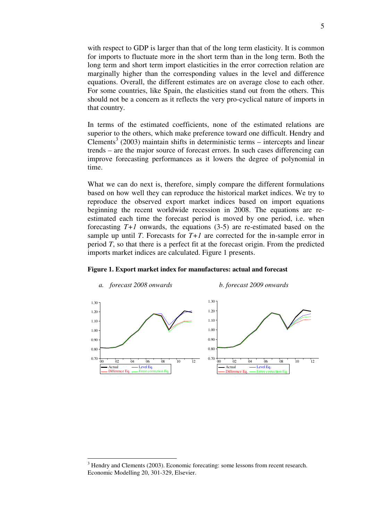with respect to GDP is larger than that of the long term elasticity. It is common for imports to fluctuate more in the short term than in the long term. Both the long term and short term import elasticities in the error correction relation are marginally higher than the corresponding values in the level and difference equations. Overall, the different estimates are on average close to each other. For some countries, like Spain, the elasticities stand out from the others. This should not be a concern as it reflects the very pro-cyclical nature of imports in that country.

In terms of the estimated coefficients, none of the estimated relations are superior to the others, which make preference toward one difficult. Hendry and Clements<sup>3</sup> (2003) maintain shifts in deterministic terms – intercepts and linear trends – are the major source of forecast errors. In such cases differencing can improve forecasting performances as it lowers the degree of polynomial in time.

What we can do next is, therefore, simply compare the different formulations based on how well they can reproduce the historical market indices. We try to reproduce the observed export market indices based on import equations beginning the recent worldwide recession in 2008. The equations are reestimated each time the forecast period is moved by one period, i.e. when forecasting  $T+1$  onwards, the equations  $(3-5)$  are re-estimated based on the sample up until *T*. Forecasts for  $T+1$  are corrected for the in-sample error in period *T*, so that there is a perfect fit at the forecast origin. From the predicted imports market indices are calculated. Figure 1 presents.





<u>.</u>

<sup>&</sup>lt;sup>3</sup> Hendry and Clements (2003). Economic forecating: some lessons from recent research. Economic Modelling 20, 301-329, Elsevier.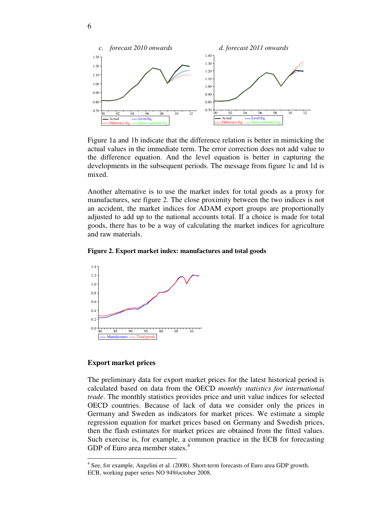

Figure 1a and 1b indicate that the difference relation is better in mimicking the actual values in the immediate term. The error correction does not add value to the difference equation. And the level equation is better in capturing the developments in the subsequent periods. The message from figure 1c and 1d is mixed.

Another alternative is to use the market index for total goods as a proxy for manufactures, see figure 2. The close proximity between the two indices is not an accident, the market indices for ADAM export groups are proportionally adjusted to add up to the national accounts total. If a choice is made for total goods, there has to be a way of calculating the market indices for agriculture and raw materials.

**Figure 2. Export market index: manufactures and total goods** 



#### **Export market prices**

<u>.</u>

The preliminary data for export market prices for the latest historical period is calculated based on data from the OECD *monthly statistics for international trade*. The monthly statistics provides price and unit value indices for selected OECD countries. Because of lack of data we consider only the prices in Germany and Sweden as indicators for market prices. We estimate a simple regression equation for market prices based on Germany and Swedish prices, then the flash estimates for market prices are obtained from the fitted values. Such exercise is, for example, a common practice in the ECB for forecasting GDP of Euro area member states.<sup>4</sup>

<sup>&</sup>lt;sup>4</sup> See, for example, Angelini et al. (2008). Short-term forecasts of Euro area GDP growth. ECB, working paper series NO 949/october 2008.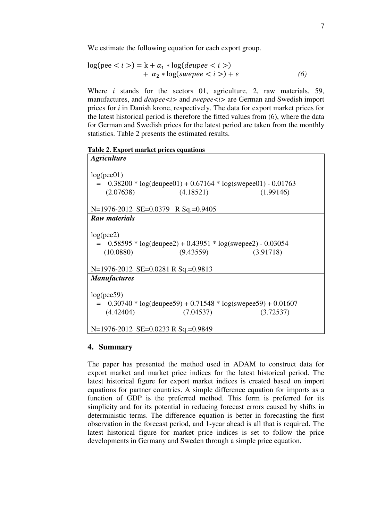We estimate the following equation for each export group.

$$
log(pec i) = k + \alpha_1 * log(deuppe i)+ \alpha_2 * log(swepee i) + \varepsilon
$$
\n(6)

Where *i* stands for the sectors 01, agriculture, 2, raw materials, 59, manufactures, and *deupee* i and *swepee* i are German and Swedish import prices for *i* in Danish krone, respectively. The data for export market prices for the latest historical period is therefore the fitted values from (6), where the data for German and Swedish prices for the latest period are taken from the monthly statistics. Table 2 presents the estimated results.

**Table 2. Export market prices equations** 

| <i><b>Agriculture</b></i>                                                                                                                               |  |  |  |  |  |  |  |
|---------------------------------------------------------------------------------------------------------------------------------------------------------|--|--|--|--|--|--|--|
| log(pec01)<br>$=$ 0.38200 * log(deupee01) + 0.67164 * log(swepee01) - 0.01763<br>(2.07638)<br>(4.18521)<br>(1.99146)                                    |  |  |  |  |  |  |  |
| N=1976-2012 SE=0.0379 R Sq.=0.9405                                                                                                                      |  |  |  |  |  |  |  |
| <b>Raw materials</b>                                                                                                                                    |  |  |  |  |  |  |  |
| log(pec2)<br>$=$ 0.58595 * log(deupee2) + 0.43951 * log(swepee2) - 0.03054<br>(10.0880)<br>(9.43559)<br>(3.91718)<br>N=1976-2012 SE=0.0281 R Sq.=0.9813 |  |  |  |  |  |  |  |
| <b>Manufactures</b>                                                                                                                                     |  |  |  |  |  |  |  |
| log(pec59)<br>$= 0.30740 * log(deupee59) + 0.71548 * log(swepee59) + 0.01607$<br>(4.42404)<br>(7.04537)<br>(3.72537)                                    |  |  |  |  |  |  |  |
| N=1976-2012 SE=0.0233 R Sq.=0.9849                                                                                                                      |  |  |  |  |  |  |  |

## **4. Summary**

The paper has presented the method used in ADAM to construct data for export market and market price indices for the latest historical period. The latest historical figure for export market indices is created based on import equations for partner countries. A simple difference equation for imports as a function of GDP is the preferred method. This form is preferred for its simplicity and for its potential in reducing forecast errors caused by shifts in deterministic terms. The difference equation is better in forecasting the first observation in the forecast period, and 1-year ahead is all that is required. The latest historical figure for market price indices is set to follow the price developments in Germany and Sweden through a simple price equation.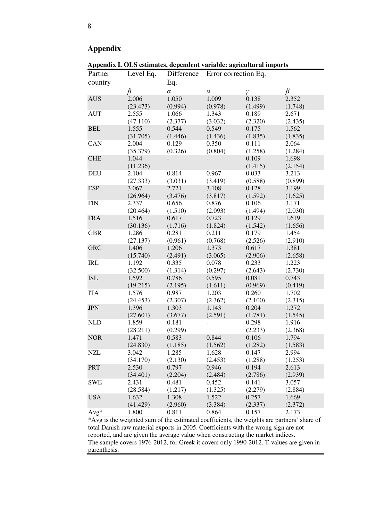## **Appendix**

**Appendix I. OLS estimates, dependent variable: agricultural imports**  Partner country Level Eq. β Difference Eq. α Error correction Eq. αγβ AUS 2.006 (23.473) 1.050 (0.994) 1.009 (0.978) 0.138 (1.499) 2.352 (1.748) AUT 2.555 (47.110) 1.066 (2.377) 1.343 (3.032) 0.189 (2.320) 2.671 (2.435) BEL 1.555 (31.705) 0.544 (1.446) 0.549 (1.436) 0.175 (1.835) 1.562 (1.835) CAN 2.004 (35.379) 0.129 (0.326) 0.350 (0.804) 0.111 (1.258) 2.064 (1.284) CHE 1.044 (11.236)  $0.109$ (1.415) 1.698 (2.154) DEU 2.104 (27.333) 0.814 (3.031) 0.967 (3.419) 0.033 (0.588) 3.213 (0.899) ESP 3.067 (26.964) 2.721 (3.476) 3.108 (3.817) 0.128 (1.592) 3.199 (1.625) FIN 2.337 (20.464) 0.656 (1.510) 0.876 (2.093) 0.106 (1.494) 3.171 (2.030) FRA 1.516 (30.136) 0.617 (1.716) 0.723 (1.824) 0.129 (1.542) 1.619 (1.656) GBR 1.286 (27.137) 0.281 (0.961) 0.211 (0.768) 0.179 (2.526) 1.454 (2.910) GRC 1.406 (15.740) 1.206 (2.491) 1.373 (3.065) 0.617 (2.906) 1.381 (2.658) IRL 1.192 (32.500) 0.335 (1.314) 0.078 (0.297) 0.233 (2.643) 1.223 (2.730) ISL 1.592 (19.215) 0.786 (2.195) 0.595 (1.611) 0.081 (0.969) 0.743 (0.419) ITA 1.576 (24.453) 0.987 (2.307) 1.203 (2.362) 0.260 (2.100) 1.702 (2.315) JPN 1.396 (27.601) 1.303 (3.677) 1.143 (2.591) 0.204 (1.781) 1.272  $(1.545)$ NLD 1.859 (28.211) 0.181 (0.299) - 0.298 (2.233) 1.916 (2.368) NOR 1.471 (24.830) 0.583 (1.185) 0.844 (1.562) 0.106 (1.282) 1.794 (1.583) NZL 3.042 (34.170) 1.285 (2.130) 1.628 (2.453) 0.147 (1.288) 2.994 (1.253) PRT 2.530 (34.401) 0.797 (2.204) 0.946 (2.484) 0.194 (2.786) 2.613 (2.939) SWE 2.431 (28.584) 0.481 (1.217) 0.452 (1.325) 0.141 (2.279) 3.057 (2.884) USA 1.632 1.308 1.522 0.257 1.669

\*Avg is the weighted sum of the estimated coefficients, the weights are partners' share of total Danish raw material exports in 2005. Coefficients with the wrong sign are not reported, and are given the average value when constructing the market indices. The sample covers 1976-2012, for Greek it covers only 1990-2012. T-values are given in parenthesis.

Avg\* 1.800 0.811 0.864 0.157 2.173

(3.384)

(2.337)

(2.372)

(2.960)

(41.429)